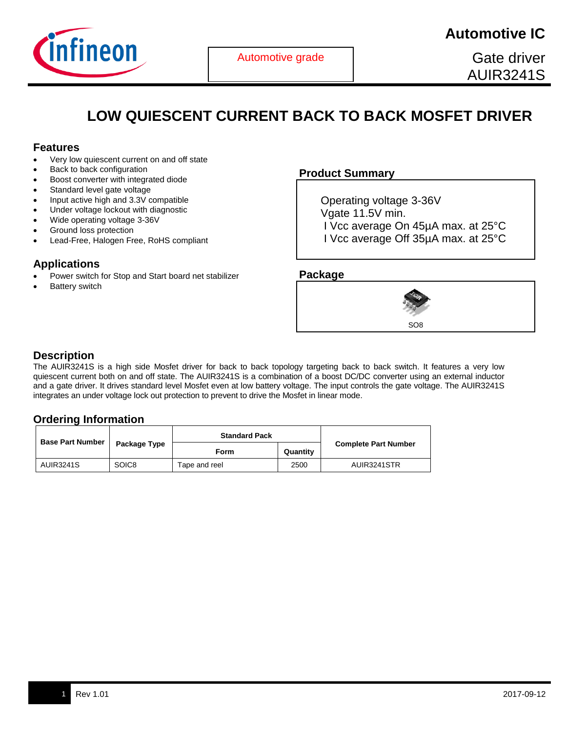

Gate driver AUIR3241S

# **LOW QUIESCENT CURRENT BACK TO BACK MOSFET DRIVER**

#### **Features**

- Very low quiescent current on and off state
- Back to back configuration
- Boost converter with integrated diode
- Standard level gate voltage
- Input active high and 3.3V compatible
- Under voltage lockout with diagnostic
- Wide operating voltage 3-36V
- Ground loss protection
- Lead-Free, Halogen Free, RoHS compliant

## **Applications**

- Power switch for Stop and Start board net stabilizer
- Battery switch

## **Product Summary**

 Operating voltage 3-36V Vgate 11.5V min. I Vcc average On 45µA max. at 25°C I Vcc average Off 35µA max. at 25°C

#### **Package**



## **Description**

The AUIR3241S is a high side Mosfet driver for back to back topology targeting back to back switch. It features a very low quiescent current both on and off state. The AUIR3241S is a combination of a boost DC/DC converter using an external inductor and a gate driver. It drives standard level Mosfet even at low battery voltage. The input controls the gate voltage. The AUIR3241S integrates an under voltage lock out protection to prevent to drive the Mosfet in linear mode.

## **Ordering Information**

| <b>Base Part Number</b> |                   | <b>Standard Pack</b> |          |                             |
|-------------------------|-------------------|----------------------|----------|-----------------------------|
|                         | Package Type      | Form                 | Quantity | <b>Complete Part Number</b> |
| <b>AUIR3241S</b>        | SOIC <sub>8</sub> | Tape and reel        | 2500     | AUIR3241STR                 |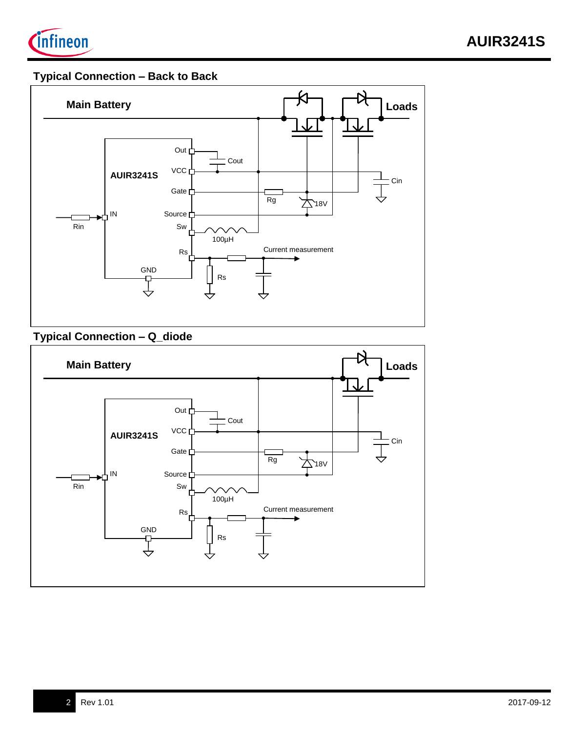

# **Typical Connection – Back to Back**



# **Typical Connection – Q\_diode**

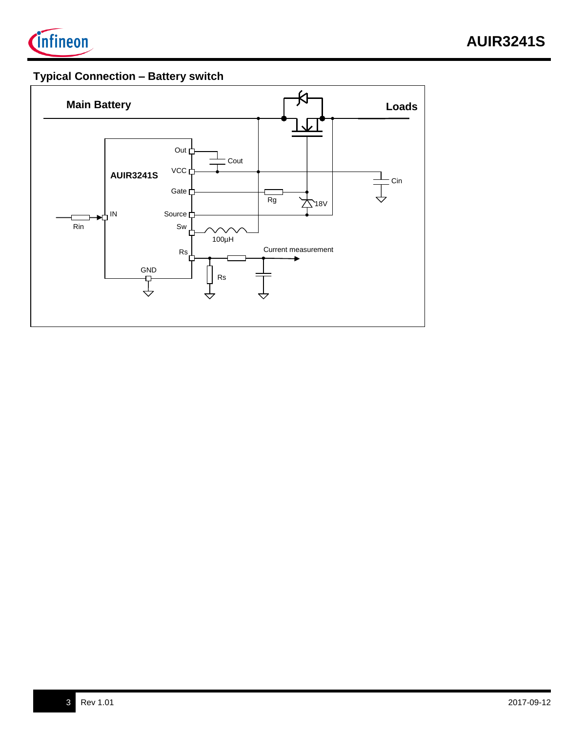

# **Typical Connection – Battery switch**

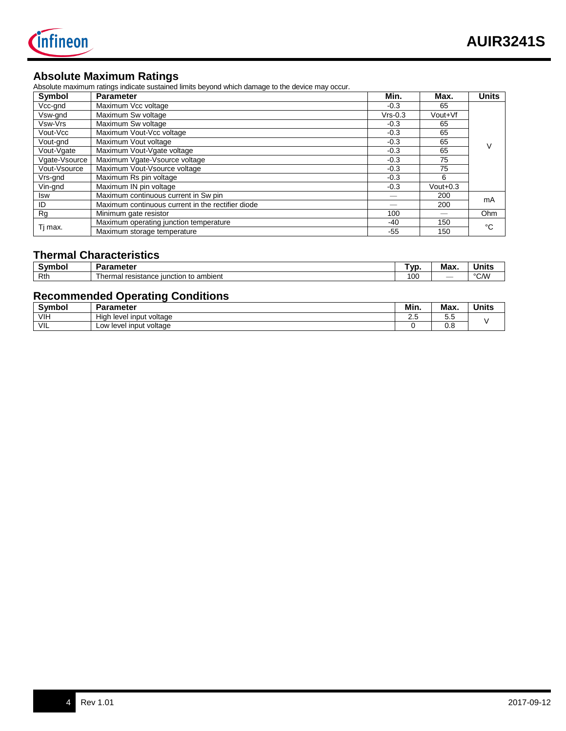

## **Absolute Maximum Ratings**

Absolute maximum ratings indicate sustained limits beyond which damage to the device may occur.

| Symbol        | <b>Parameter</b>                                  | Min.      | Max.        | <b>Units</b> |
|---------------|---------------------------------------------------|-----------|-------------|--------------|
| Vcc-gnd       | Maximum Vcc voltage                               | $-0.3$    | 65          |              |
| Vsw-gnd       | Maximum Sw voltage                                | $Vrs-0.3$ | Vout+Vf     |              |
| Vsw-Vrs       | Maximum Sw voltage                                | $-0.3$    | 65          |              |
| Vout-Vcc      | Maximum Vout-Vcc voltage                          | $-0.3$    | 65          |              |
| Vout-gnd      | Maximum Vout voltage                              | $-0.3$    | 65          |              |
| Vout-Vgate    | Maximum Vout-Vgate voltage                        | $-0.3$    | 65          |              |
| Vgate-Vsource | Maximum Vgate-Vsource voltage                     | $-0.3$    | 75          |              |
| Vout-Vsource  | Maximum Vout-Vsource voltage                      | $-0.3$    | 75          |              |
| Vrs-gnd       | Maximum Rs pin voltage                            | $-0.3$    | 6           |              |
| Vin-gnd       | Maximum IN pin voltage                            | $-0.3$    | $V$ out+0.3 |              |
| <b>Isw</b>    | Maximum continuous current in Sw pin              |           | 200         | mA           |
| ID            | Maximum continuous current in the rectifier diode |           | 200         |              |
| Rg            | Minimum gate resistor                             |           | Ohm         |              |
|               | Maximum operating junction temperature            | -40       | 150         | °C           |
| Tj max.       | Maximum storage temperature                       | $-55$     | 150         |              |

## **Thermal Characteristics**

| <b>Symbo</b> | <b>Parameter</b>                                               | VL. | Max                      | Units                 |
|--------------|----------------------------------------------------------------|-----|--------------------------|-----------------------|
| Rth          | resistance<br>ı to ambient<br>nonon<br>, iunction<br>161<br>на | 10C | $\overline{\phantom{a}}$ | $0$ $0$ $0$ $0$<br>ັ້ |

## **Recommended Operating Conditions**

| <b>Symbol</b> | arameter                         | Min. | Max.                 | . .<br>Units |
|---------------|----------------------------------|------|----------------------|--------------|
| <b>VIH</b>    | Hial<br>I input voltage<br>level | ے ۔  | -<br>∽<br>J.J        |              |
| VIL           | / level input voltage<br>∟ow∶    |      | $\sim$ $\sim$<br>บ.ช |              |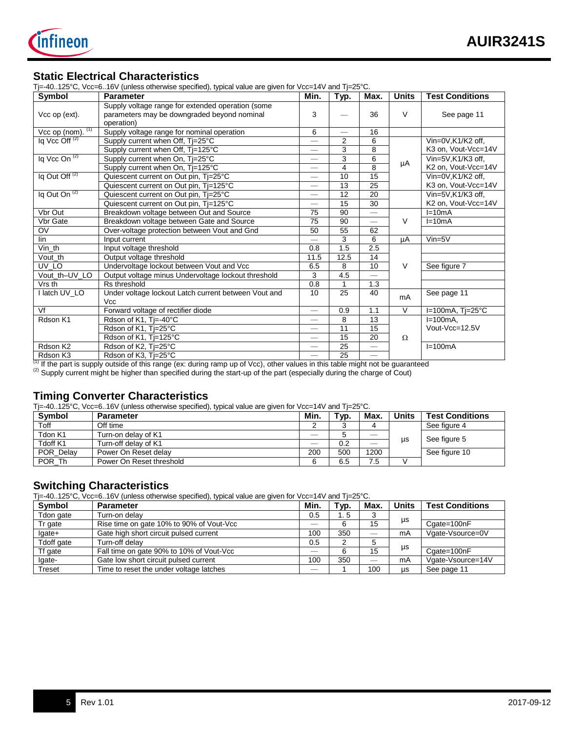

#### **Static Electrical Characteristics**

Tj=-40..125°C, Vcc=6..16V (unless otherwise specified), typical value are given for Vcc=14V and Tj=25°C.

|                             | $\mu$ =-40125 C, VCC=010V (uniess otherwise specified), typical value are given for VCC=14V and TJ=25 C. |                          |                          |                          |              |                        |
|-----------------------------|----------------------------------------------------------------------------------------------------------|--------------------------|--------------------------|--------------------------|--------------|------------------------|
| Symbol                      | <b>Parameter</b>                                                                                         | Min.                     | Typ.                     | Max.                     | <b>Units</b> | <b>Test Conditions</b> |
|                             | Supply voltage range for extended operation (some                                                        |                          |                          |                          |              |                        |
| Vcc op (ext).               | parameters may be downgraded beyond nominal                                                              | 3                        |                          | 36                       | V            | See page 11            |
|                             | operation)                                                                                               |                          |                          |                          |              |                        |
| $Vcc$ op (nom). $(1)$       | Supply voltage range for nominal operation                                                               | 6                        | $\overline{\phantom{0}}$ | 16                       |              |                        |
| Iq Vcc Off <sup>(2)</sup>   | Supply current when Off, Tj=25°C                                                                         |                          | $\overline{2}$           | 6                        |              | Vin=0V.K1/K2 off.      |
|                             | Supply current when Off, Tj=125°C                                                                        | $\overline{\phantom{0}}$ | 3                        | 8                        |              | K3 on, Vout-Vcc=14V    |
| $Iq$ Vcc On $(2)$           | Supply current when On, Tj=25°C                                                                          | $\overline{\phantom{0}}$ | 3                        | 6                        |              | Vin=5V,K1/K3 off,      |
|                             | Supply current when On, Tj=125°C                                                                         | —                        | 4                        | 8                        | μA           | K2 on, Vout-Vcc=14V    |
| $Iq$ Out Off <sup>(2)</sup> | Quiescent current on Out pin, Tj=25°C                                                                    | $\overline{\phantom{0}}$ | 10                       | 15                       |              | Vin=0V,K1/K2 off,      |
|                             | Quiescent current on Out pin, Ti=125°C                                                                   | $\overline{\phantom{0}}$ | 13                       | 25                       |              | K3 on, Vout-Vcc=14V    |
| Iq Out On <sup>(2)</sup>    | Quiescent current on Out pin, Ti=25°C                                                                    | $\overline{\phantom{0}}$ | 12                       | 20                       |              | Vin=5V.K1/K3 off.      |
|                             | Quiescent current on Out pin, Ti=125°C                                                                   | $\overline{\phantom{0}}$ | 15                       | 30                       |              | K2 on, Vout-Vcc=14V    |
| Vbr Out                     | Breakdown voltage between Out and Source                                                                 | 75                       | 90                       | $\equiv$                 |              | $I=10mA$               |
| Vbr Gate                    | Breakdown voltage between Gate and Source                                                                | 75                       | 90                       | $\overline{\phantom{0}}$ | $\vee$       | $I=10mA$               |
| OV                          | Over-voltage protection between Vout and Gnd                                                             | 50                       | 55                       | 62                       |              |                        |
| lin                         | Input current                                                                                            |                          | 3                        | 6                        | μA           | $Vin=5V$               |
| $\overline{V}$ in_th        | Input voltage threshold                                                                                  | 0.8                      | 1.5                      | 2.5                      |              |                        |
| Vout th                     | Output voltage threshold                                                                                 | 11.5                     | 12.5                     | 14                       |              |                        |
| UV LO                       | Undervoltage lockout between Vout and Vcc                                                                | 6.5                      | 8                        | 10                       | $\vee$       | See figure 7           |
| Vout th-UV LO               | Output voltage minus Undervoltage lockout threshold                                                      | 3                        | 4.5                      |                          |              |                        |
| Vrs th                      | Rs threshold                                                                                             | 0.8                      |                          | 1.3                      |              |                        |
| I latch UV_LO               | Under voltage lockout Latch current between Vout and                                                     | 10                       | 25                       | 40                       |              | See page 11            |
|                             | <b>Vcc</b>                                                                                               |                          |                          |                          | mA           |                        |
| Vf                          | Forward voltage of rectifier diode                                                                       | $\overline{\phantom{0}}$ | 0.9                      | 1.1                      | $\vee$       | $I=100mA$ , T $I=25°C$ |
| Rdson K1                    | Rdson of K1, Tj=-40°C                                                                                    |                          | 8                        | 13                       |              | $I=100mA$ ,            |
|                             | Rdson of K1, Ti=25°C                                                                                     | $\overline{\phantom{0}}$ | 11                       | 15                       |              | Vout-Vcc=12.5V         |
|                             | Rdson of K1, Tj=125°C                                                                                    | $\overline{\phantom{0}}$ | 15                       | 20                       | $\Omega$     |                        |
| Rdson K2                    | Rdson of K2, Tj=25°C                                                                                     | $\overline{\phantom{0}}$ | 25                       | $\overline{\phantom{0}}$ |              | $I=100mA$              |
| Rdson K3                    | Rdson of K3, Tj=25°C                                                                                     |                          | 25                       |                          |              |                        |

 $(1)$  If the part is supply outside of this range (ex: during ramp up of Vcc), other values in this table might not be guaranteed

 $^{(2)}$  Supply current might be higher than specified during the start-up of the part (especially during the charge of Cout)

#### **Timing Converter Characteristics**

Tj=-40..125°C, Vcc=6..16V (unless otherwise specified), typical value are given for Vcc=14V and Tj=25°C.

| <b>Symbol</b> | <b>Parameter</b>         | Min.                     | Typ. | Max. | <b>Units</b> | <b>Test Conditions</b> |
|---------------|--------------------------|--------------------------|------|------|--------------|------------------------|
| Toff          | Off time                 |                          |      |      |              | See figure 4           |
| Tdon K1       | Turn-on delay of K1      |                          |      |      |              | See figure 5           |
| Tdoff K1      | Turn-off delay of K1     | $\overline{\phantom{a}}$ | 0.2  |      | us           |                        |
| POR Delay     | Power On Reset delay     | 200                      | 500  | 1200 |              | See figure 10          |
| POR Th        | Power On Reset threshold |                          | 6.5  | 7.5  |              |                        |

#### **Switching Characteristics**

Tj=-40..125°C, Vcc=6..16V (unless otherwise specified), typical value are given for Vcc=14V and Tj=25°C.

| <b>Symbol</b> | <b>Parameter</b>                         | Min. | Typ. | Max.                           | <b>Units</b> | <b>Test Conditions</b> |
|---------------|------------------------------------------|------|------|--------------------------------|--------------|------------------------|
| Tdon gate     | Turn-on delav                            | 0.5  | . 5  |                                |              |                        |
| Tr gate       | Rise time on gate 10% to 90% of Vout-Vcc |      |      | 15                             | μs           | Cgate=100nF            |
| lgate+        | Gate high short circuit pulsed current   | 100  | 350  |                                | mA           | Vgate-Vsource=0V       |
| Tdoff gate    | Turn-off delav                           | 0.5  |      |                                |              |                        |
| Tf gate       | Fall time on gate 90% to 10% of Vout-Vcc |      |      | 15                             | μs           | Cgate=100nF            |
| Igate-        | Gate low short circuit pulsed current    | 100  | 350  | $\qquad \qquad \longleftarrow$ | mA           | Vgate-Vsource=14V      |
| Treset        | Time to reset the under voltage latches  | __   |      | 100                            | us           | See page 11            |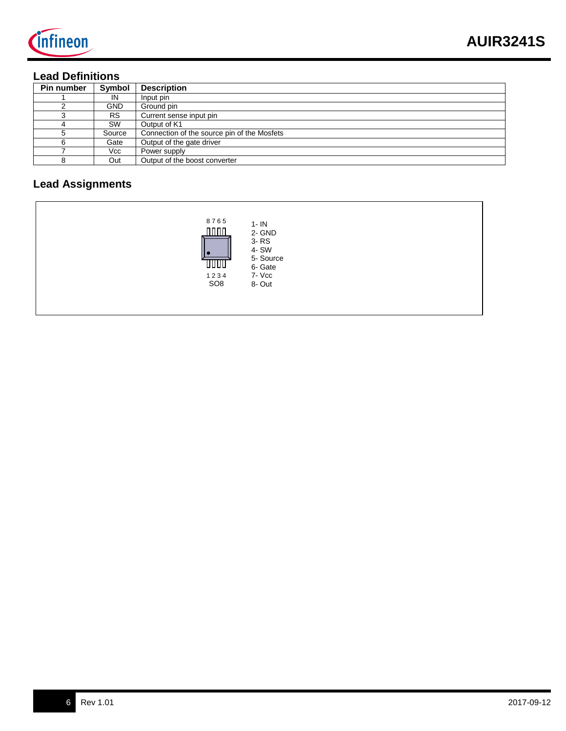

# **Lead Definitions**

| Pin number | Symbol     | <b>Description</b>                          |
|------------|------------|---------------------------------------------|
|            | IN         | Input pin                                   |
|            | <b>GND</b> | Ground pin                                  |
|            | <b>RS</b>  | Current sense input pin                     |
|            | SW         | Output of K1                                |
|            | Source     | Connection of the source pin of the Mosfets |
| 6          | Gate       | Output of the gate driver                   |
|            | Vcc        | Power supply                                |
|            | Out        | Output of the boost converter               |

# **Lead Assignments**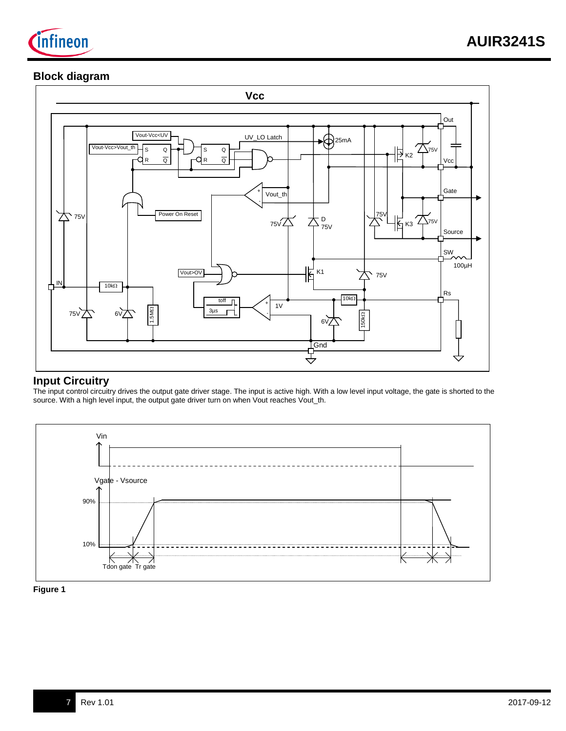

## **Block diagram**



## **Input Circuitry**

The input control circuitry drives the output gate driver stage. The input is active high. With a low level input voltage, the gate is shorted to the source. With a high level input, the output gate driver turn on when Vout reaches Vout\_th.



**Figure 1**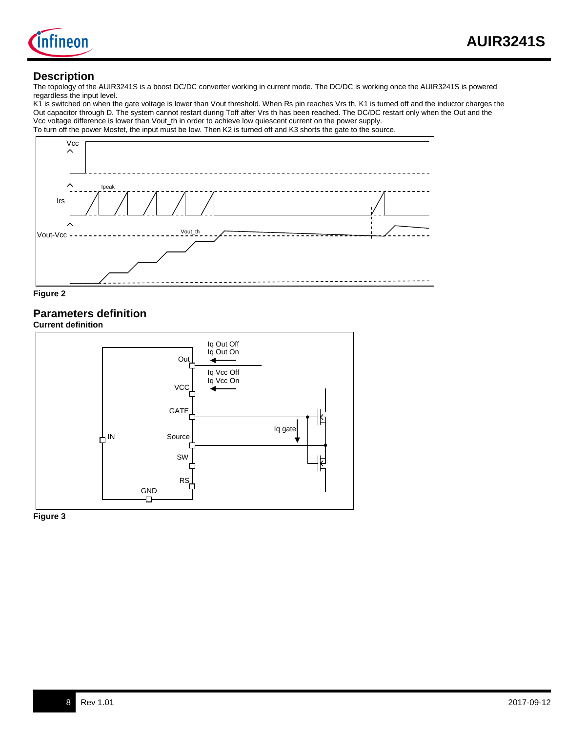

#### **Description**

The topology of the AUIR3241S is a boost DC/DC converter working in current mode. The DC/DC is working once the AUIR3241S is powered regardless the input level.

K1 is switched on when the gate voltage is lower than Vout threshold. When Rs pin reaches Vrs th, K1 is turned off and the inductor charges the Out capacitor through D. The system cannot restart during Toff after Vrs th has been reached. The DC/DC restart only when the Out and the Vcc voltage difference is lower than Vout\_th in order to achieve low quiescent current on the power supply. To turn off the power Mosfet, the input must be low. Then K2 is turned off and K3 shorts the gate to the source.





# **Parameters definition**

**Current definition**



**Figure 3**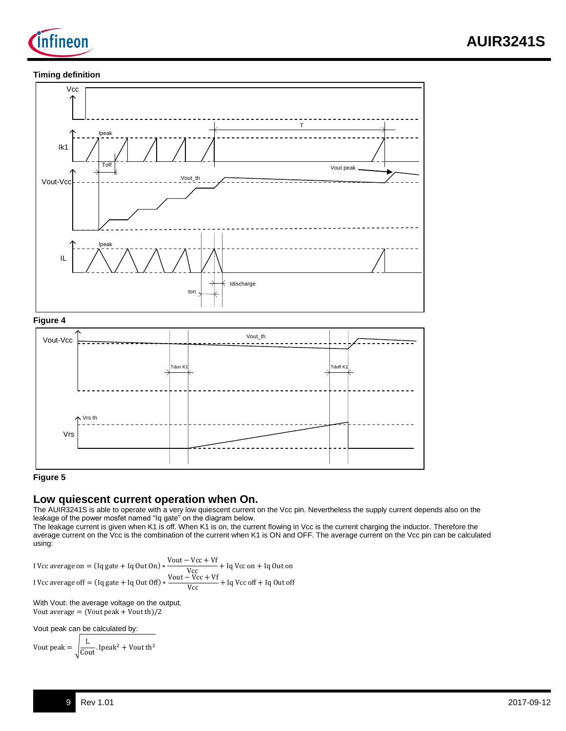

#### **Timing definition**



#### **Figure 5**

## **Low quiescent current operation when On.**

The AUIR3241S is able to operate with a very low quiescent current on the Vcc pin. Nevertheless the supply current depends also on the leakage of the power mosfet named "Iq gate" on the diagram below.

The leakage current is given when K1 is off. When K1 is on, the current flowing in Vcc is the current charging the inductor. Therefore the average current on the Vcc is the combination of the current when K1 is ON and OFF. The average current on the Vcc pin can be calculated using:

I Vcc average on  $=$  (Iq gate + Iq Out On)  $\frac{V\text{out} - V\text{cc} + Vf}{V\text{cc}}$  + Iq Vcc on + Iq Out on I Vcc average off =  $(Iq$  gate + Iq Out Off)  $\frac{V\text{out} - V\text{cc} + Vf}{V\text{cc}} + \text{Iq Vcc off} + \text{Iq Out off}$ 

With Vout: the average voltage on the output. Vout average = (Vout peak + Vout th)/2

Vout peak can be calculated by:

Vout peak  $=$  $\frac{L}{\text{Cout}}$ . Ipeak<sup>2</sup> + Vout th<sup>2</sup>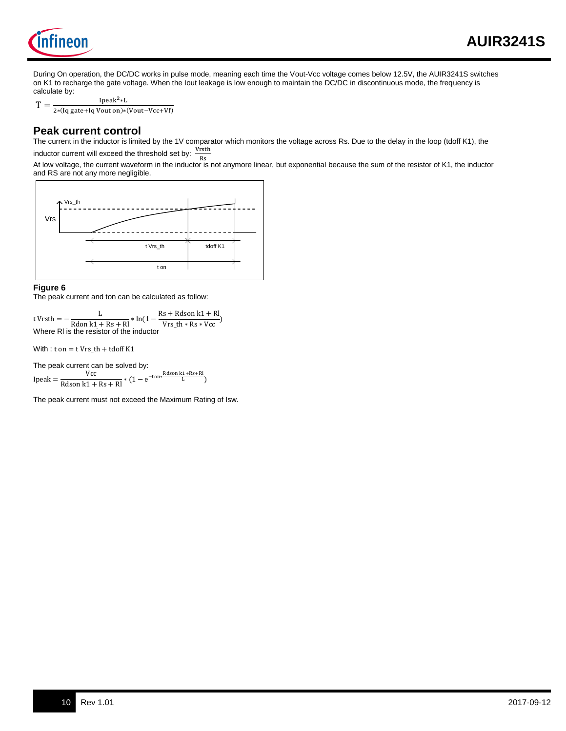

During On operation, the DC/DC works in pulse mode, meaning each time the Vout-Vcc voltage comes below 12.5V, the AUIR3241S switches on K1 to recharge the gate voltage. When the Iout leakage is low enough to maintain the DC/DC in discontinuous mode, the frequency is calculate by:

 $T =$ Ipeak2∗L

2∗(Iq gate+Iq Vout on)∗(Vout−Vcc+Vf)

## **Peak current control**

The current in the inductor is limited by the 1V comparator which monitors the voltage across Rs. Due to the delay in the loop (tdoff K1), the inductor current will exceed the threshold set by:  $\frac{\text{Vrsth}}{\text{p}_\text{c}}$ 

Rs At low voltage, the current waveform in the inductor is not anymore linear, but exponential because the sum of the resistor of K1, the inductor and RS are not any more negligible.



#### **Figure 6**

The peak current and ton can be calculated as follow:

t Vrsth  $=$   $\frac{L}{R \text{don } k1 + Rs + Rl} * \ln(1 - \frac{Rs + R \text{dson } k1 + Rl}{Vrs\_th * Rs * Vcc})$ Where Rl is the resistor of the inductor

With :  $t$  on =  $t$  Vrs\_th + tdoff K1

The peak current can be solved by:<br> $Vcc$ 

 $\text{Ipeak} = \frac{\text{Vcc}}{\text{Rdson k1} + \text{Rs} + \text{RI}} * (1 - e^{-\text{ton} * \frac{\text{Rdson k1} + \text{Rs} + \text{RI}}{\text{L}}})$ 

The peak current must not exceed the Maximum Rating of Isw.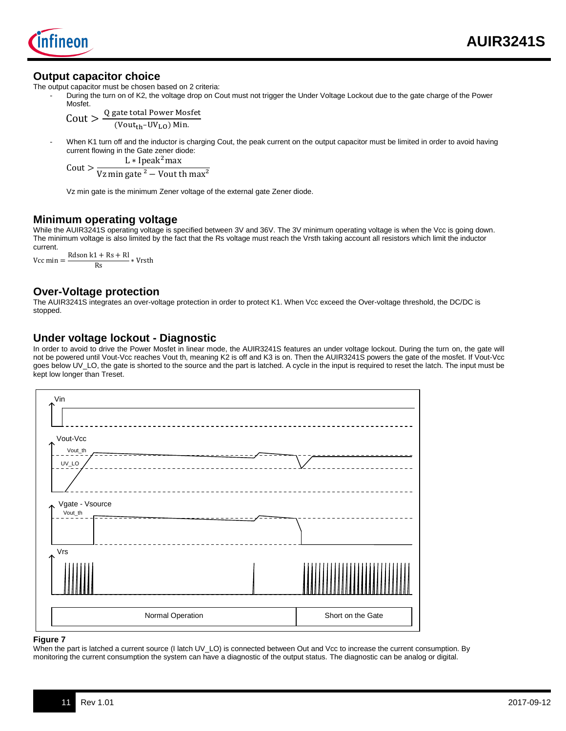

#### **Output capacitor choice**

Mosfet.

The output capacitor must be chosen based on 2 criteria:

During the turn on of K2, the voltage drop on Cout must not trigger the Under Voltage Lockout due to the gate charge of the Power

 $C$ out  $>$ Q gate total Power Mosfet  $(Vout_{th}-UV_{LO})$  Min.

When K1 turn off and the inductor is charging Cout, the peak current on the output capacitor must be limited in order to avoid having current flowing in the Gate zener diode:

L  $*$  Ipeak<sup>2</sup>max

Cout > Vz min gate  $\frac{2}{1}$  Vout th max<sup>2</sup>

Vz min gate is the minimum Zener voltage of the external gate Zener diode.

## **Minimum operating voltage**

While the AUIR3241S operating voltage is specified between 3V and 36V. The 3V minimum operating voltage is when the Vcc is going down. The minimum voltage is also limited by the fact that the Rs voltage must reach the Vrsth taking account all resistors which limit the inductor current.

Vcc min =  $\frac{Rdson k1 + Rs + Rl}{Rs} * Vrsth$ 

#### **Over-Voltage protection**

The AUIR3241S integrates an over-voltage protection in order to protect K1. When Vcc exceed the Over-voltage threshold, the DC/DC is stopped.

#### **Under voltage lockout - Diagnostic**

In order to avoid to drive the Power Mosfet in linear mode, the AUIR3241S features an under voltage lockout. During the turn on, the gate will not be powered until Vout-Vcc reaches Vout th, meaning K2 is off and K3 is on. Then the AUIR3241S powers the gate of the mosfet. If Vout-Vcc goes below UV\_LO, the gate is shorted to the source and the part is latched. A cycle in the input is required to reset the latch. The input must be kept low longer than Treset.



#### **Figure 7**

When the part is latched a current source (I latch UV\_LO) is connected between Out and Vcc to increase the current consumption. By monitoring the current consumption the system can have a diagnostic of the output status. The diagnostic can be analog or digital.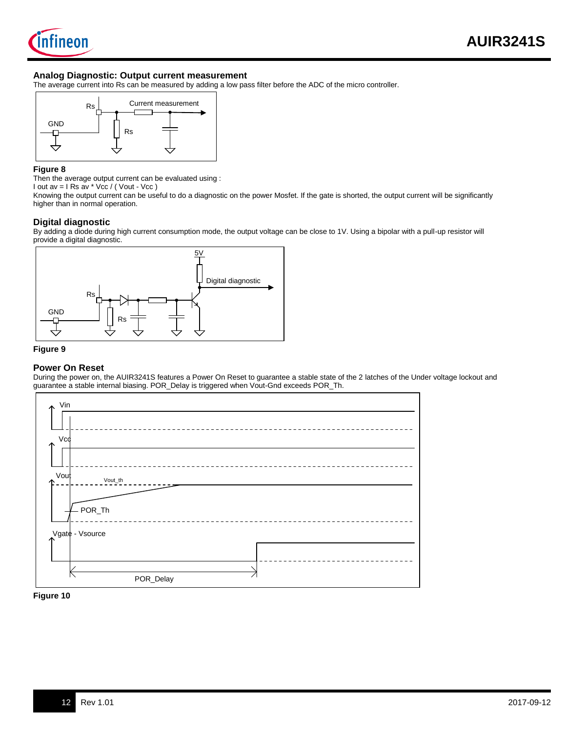

#### **Analog Diagnostic: Output current measurement**

The average current into Rs can be measured by adding a low pass filter before the ADC of the micro controller.



#### **Figure 8**

Then the average output current can be evaluated using :

I out av =  $I$  Rs av  $*$  Vcc / ( Vout - Vcc )

Knowing the output current can be useful to do a diagnostic on the power Mosfet. If the gate is shorted, the output current will be significantly higher than in normal operation.

#### **Digital diagnostic**

By adding a diode during high current consumption mode, the output voltage can be close to 1V. Using a bipolar with a pull-up resistor will provide a digital diagnostic.



#### **Figure 9**

#### **Power On Reset**

During the power on, the AUIR3241S features a Power On Reset to guarantee a stable state of the 2 latches of the Under voltage lockout and guarantee a stable internal biasing. POR\_Delay is triggered when Vout-Gnd exceeds POR\_Th.



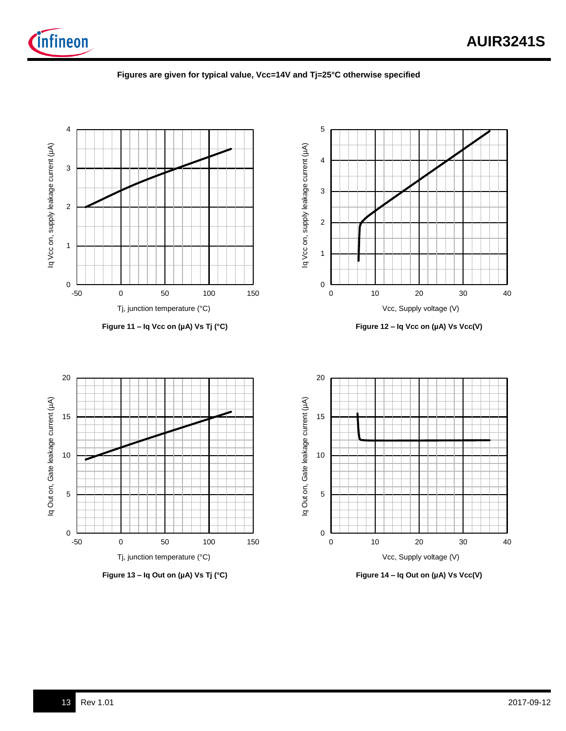

#### **Figures are given for typical value, Vcc=14V and Tj=25°C otherwise specified**

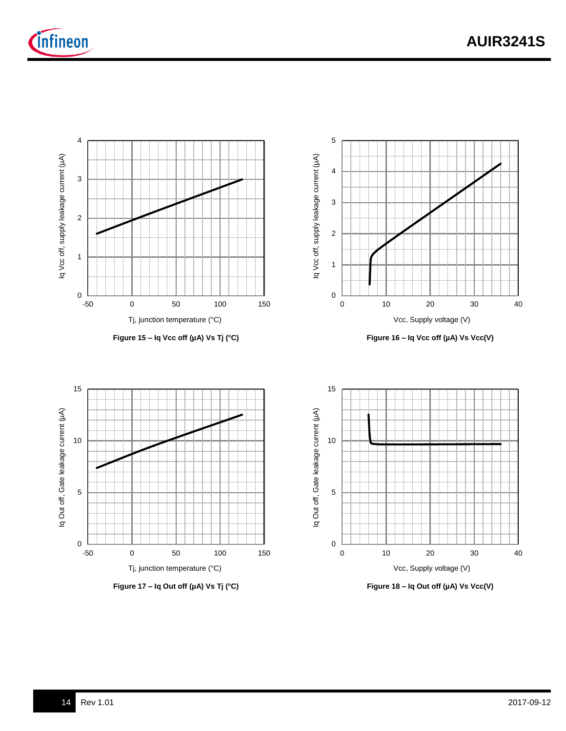









**Figure 18 – Iq Out off (µA) Vs Vcc(V)**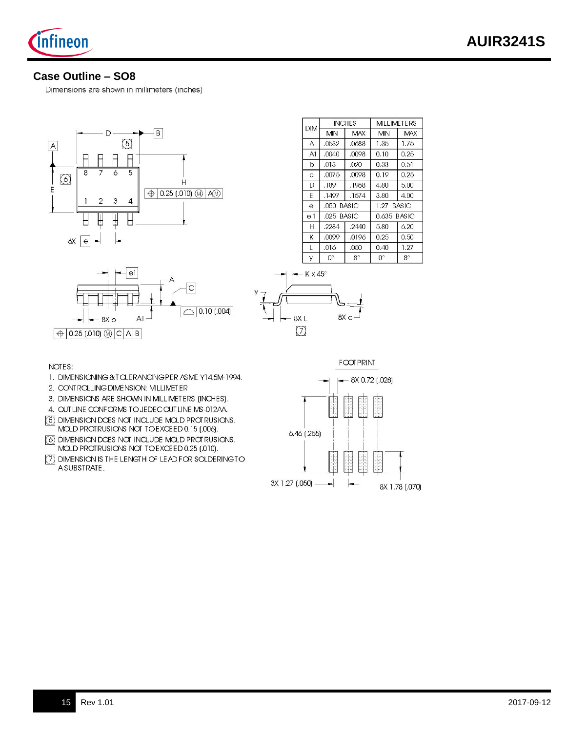

## **Case Outline – SO8**

Dimensions are shown in millimeters (inches)



| <b>DIM</b>     |              | <b>INCHES</b> |               | MILLIMETERS |  |
|----------------|--------------|---------------|---------------|-------------|--|
|                | MIN          | <b>MAX</b>    | MIN           | <b>MAX</b>  |  |
| Α              | .0532        | .0688         | 1.35          | 1.75        |  |
| A1             | .0040        | .0098         | 0.10          | 0.25        |  |
| b              | .013         | .020          | 0.33          | 0.51        |  |
| Ċ              | .0075        | .0098         | 0.19          | 0.25        |  |
| D              | .189         | .1968         | 4.80          | 5.00        |  |
| F              | .1497        | .1574         | 3.80          | 4.00        |  |
| e              | .050 BASIC   |               | $1.27$ RASIC. |             |  |
| e <sub>1</sub> | $.025$ BASIC |               |               | 0.635 BASIC |  |
| Н              | .2284        | .2440         | 5.80          | 6.20        |  |
| K              | .0099        | .0196         | 0.25          | 0.50        |  |
| L              | .016         | .050          | 0.40          | 1.27        |  |
| У              | 0°           | $8^{\circ}$   | $0^{\circ}$   | $8^{\circ}$ |  |





NOTES:

- 1. DIMENSIONING & TOLERANOING PER ASME Y14.5M-1994.
- 2. CONTROLLING DIMENSION: MILLIMETER
- 3. DIMENSIONS ARE SHOWN IN MILLIMETERS (INCHES).
- 4. OUT LINE CONFORMS TO JEDEC OUT LINE MS-012AA.
- 5 DIMENSION DOES NOT INCLUDE MOLD PROTRUSIONS. MOLD PROTRUSIONS NOT TO EXCEED 0.15 (.006).
- 6 DIMENSION DOES NOT INCLUDE MOLD PROTRUSIONS. MOLD PROTRUSIONS NOT TO EXCEED 0.25 (.010).
- [7] DIMENSION IS THE LENGTH OF LEAD FOR SOLDERINGTO ASUBSTRATE.

 $F$   $\infty$ T  $PRIN$ 

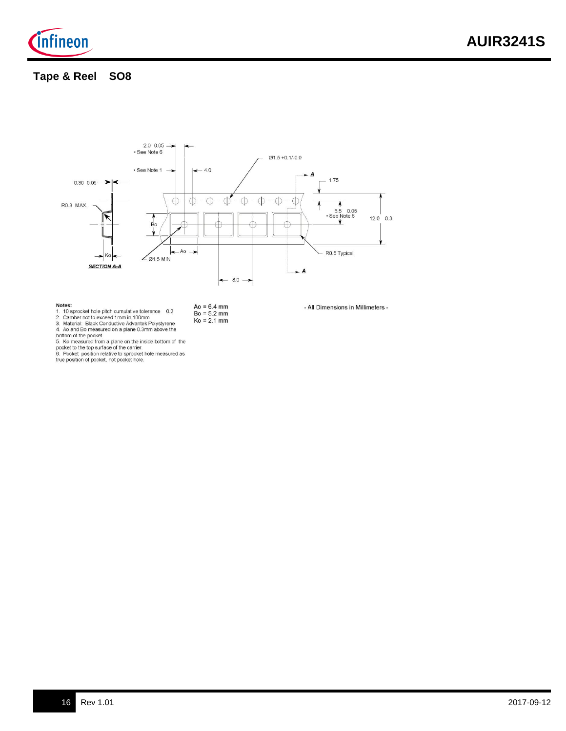

## **Tape & Reel SO8**



- 
- **Notes:**<br>1. 10 sprocket hole pitch cumulative tolerance 0.2<br>2. Camber not to exceed 1mm in 100mm<br>3. Material: Black Conductive Advantek Polystyrene<br>4. Ao and Bo measured on a plane 0.3mm above the<br>holtom of the nocket

4. Ao and Bo measured on a plane 0.3mm above the<br>bottom of the pocket<br>5. Ko measured from a plane on the inside bottom of the<br>pocket to the top surface of the carrier.<br>6. Pocket position relative to sprocket hole measured

- Ao = 6.4 mm<br>Bo = 5.2 mm<br>Ko = 2.1 mm
- 
- All Dimensions in Millimeters -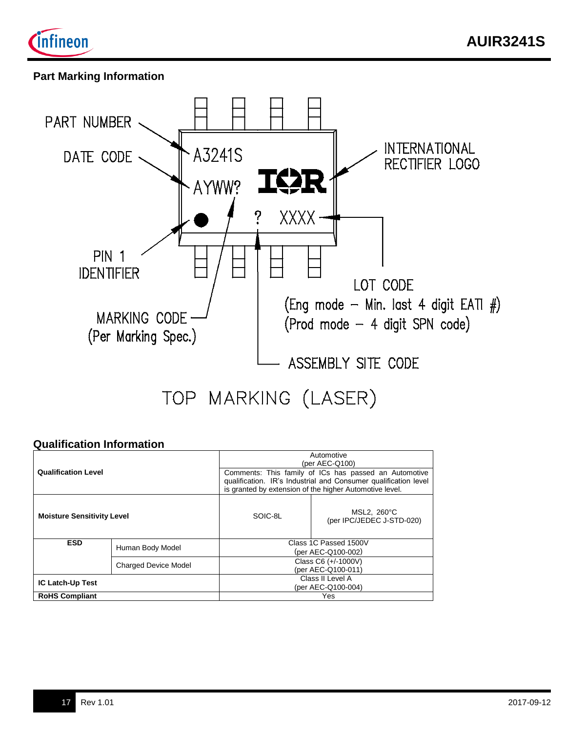



# **Part Marking Information**



## **Qualification Information**

| <b>Qualification Level</b>        |                  | Automotive<br>(per AEC-Q100)<br>Comments: This family of ICs has passed an Automotive<br>qualification. IR's Industrial and Consumer qualification level<br>is granted by extension of the higher Automotive level. |                                          |  |  |
|-----------------------------------|------------------|---------------------------------------------------------------------------------------------------------------------------------------------------------------------------------------------------------------------|------------------------------------------|--|--|
| <b>Moisture Sensitivity Level</b> |                  | SOIC-8L                                                                                                                                                                                                             | MSL2, 260°C<br>(per IPC/JEDEC J-STD-020) |  |  |
| <b>ESD</b>                        | Human Body Model | Class 1C Passed 1500V<br>(per AEC-Q100-002)                                                                                                                                                                         |                                          |  |  |
| <b>Charged Device Model</b>       |                  | Class C6 (+/-1000V)<br>(per AEC-Q100-011)                                                                                                                                                                           |                                          |  |  |
| <b>IC Latch-Up Test</b>           |                  | Class II Level A<br>(per AEC-Q100-004)                                                                                                                                                                              |                                          |  |  |
| <b>RoHS Compliant</b>             |                  |                                                                                                                                                                                                                     | Yes                                      |  |  |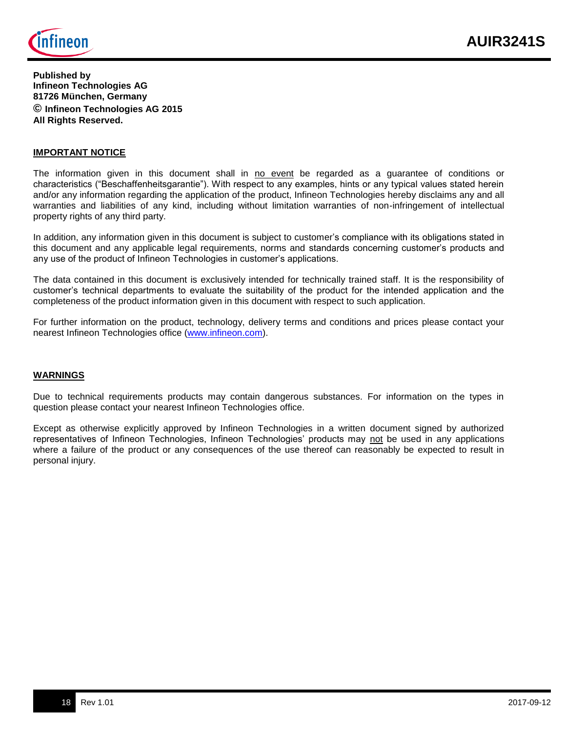

**Published by Infineon Technologies AG 81726 München, Germany © Infineon Technologies AG 2015 All Rights Reserved.**

#### **IMPORTANT NOTICE**

The information given in this document shall in no event be regarded as a guarantee of conditions or characteristics ("Beschaffenheitsgarantie"). With respect to any examples, hints or any typical values stated herein and/or any information regarding the application of the product, Infineon Technologies hereby disclaims any and all warranties and liabilities of any kind, including without limitation warranties of non-infringement of intellectual property rights of any third party.

In addition, any information given in this document is subject to customer's compliance with its obligations stated in this document and any applicable legal requirements, norms and standards concerning customer's products and any use of the product of Infineon Technologies in customer's applications.

The data contained in this document is exclusively intended for technically trained staff. It is the responsibility of customer's technical departments to evaluate the suitability of the product for the intended application and the completeness of the product information given in this document with respect to such application.

For further information on the product, technology, delivery terms and conditions and prices please contact your nearest Infineon Technologies office [\(www.infineon.com\)](http://www.infineon.com/).

#### **WARNINGS**

Due to technical requirements products may contain dangerous substances. For information on the types in question please contact your nearest Infineon Technologies office.

Except as otherwise explicitly approved by Infineon Technologies in a written document signed by authorized representatives of Infineon Technologies, Infineon Technologies' products may not be used in any applications where a failure of the product or any consequences of the use thereof can reasonably be expected to result in personal injury.